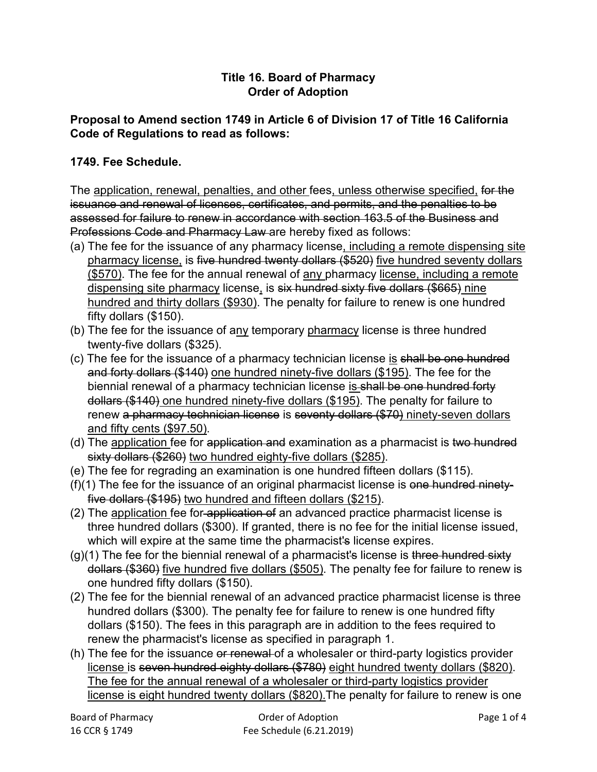## **Title 16. Board of Pharmacy Order of Adoption**

## **Proposal to Amend section 1749 in Article 6 of Division 17 of Title 16 California Code of Regulations to read as follows:**

## **1749. Fee Schedule.**

The application, renewal, penalties, and other fees, unless otherwise specified, for the issuance and renewal of licenses, certificates, and permits, and the penalties to be assessed for failure to renew in accordance with section 163.5 of the Business and Professions Code and Pharmacy Law are hereby fixed as follows:

- (a) The fee for the issuance of any pharmacy license, including a remote dispensing site pharmacy license, is five hundred twenty dollars (\$520) five hundred seventy dollars (\$570). The fee for the annual renewal of any pharmacy license, including a remote dispensing site pharmacy license, is six hundred sixty five dollars (\$665) nine hundred and thirty dollars (\$930). The penalty for failure to renew is one hundred fifty dollars (\$150).
- (b) The fee for the issuance of any temporary pharmacy license is three hundred twenty-five dollars (\$325).
- (c) The fee for the issuance of a pharmacy technician license is shall be one hundred and forty dollars (\$140) one hundred ninety-five dollars (\$195). The fee for the biennial renewal of a pharmacy technician license is shall be one hundred forty dollars (\$140) one hundred ninety-five dollars (\$195). The penalty for failure to renew a pharmacy technician license is seventy dollars (\$70) ninety-seven dollars and fifty cents (\$97.50).
- (d) The application fee for application and examination as a pharmacist is two hundred sixty dollars (\$260) two hundred eighty-five dollars (\$285).
- (e) The fee for regrading an examination is one hundred fifteen dollars (\$115).
- $(f)(1)$  The fee for the issuance of an original pharmacist license is one hundred ninetyfive dollars (\$195) two hundred and fifteen dollars (\$215).
- (2) The application fee for application of an advanced practice pharmacist license is three hundred dollars (\$300). If granted, there is no fee for the initial license issued, which will expire at the same time the pharmacist's license expires.
- $(g)(1)$  The fee for the biennial renewal of a pharmacist's license is three hundred sixty dollars (\$360) five hundred five dollars (\$505). The penalty fee for failure to renew is one hundred fifty dollars (\$150).
- (2) The fee for the biennial renewal of an advanced practice pharmacist license is three hundred dollars (\$300). The penalty fee for failure to renew is one hundred fifty dollars (\$150). The fees in this paragraph are in addition to the fees required to renew the pharmacist's license as specified in paragraph 1.
- (h) The fee for the issuance or renewal of a wholesaler or third-party logistics provider license is seven hundred eighty dollars (\$780) eight hundred twenty dollars (\$820). The fee for the annual renewal of a wholesaler or third-party logistics provider license is eight hundred twenty dollars (\$820). The penalty for failure to renew is one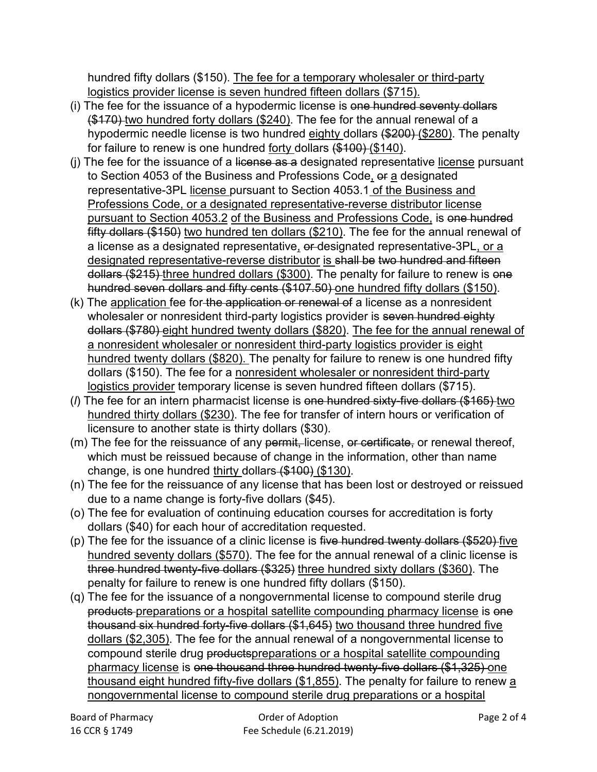hundred fifty dollars (\$150). The fee for a temporary wholesaler or third-party logistics provider license is seven hundred fifteen dollars (\$715).

- (i) The fee for the issuance of a hypodermic license is one hundred seventy dollars (\$170) two hundred forty dollars (\$240). The fee for the annual renewal of a hypodermic needle license is two hundred eighty dollars (\$200) (\$280). The penalty for failure to renew is one hundred forty dollars (\$100) (\$140).
- (i) The fee for the issuance of a license as a designated representative license pursuant to Section 4053 of the Business and Professions Code, or a designated representative-3PL license pursuant to Section 4053.1 of the Business and Professions Code, or a designated representative-reverse distributor license pursuant to Section 4053.2 of the Business and Professions Code, is one hundred fifty dollars (\$150) two hundred ten dollars (\$210). The fee for the annual renewal of a license as a designated representative, or designated representative-3PL, or a designated representative-reverse distributor is shall be two hundred and fifteen dollars (\$215) three hundred dollars (\$300). The penalty for failure to renew is one hundred seven dollars and fifty cents (\$107.50) one hundred fifty dollars (\$150).
- (k) The application fee for the application or renewal of a license as a nonresident wholesaler or nonresident third-party logistics provider is seven hundred eighty dollars (\$780) eight hundred twenty dollars (\$820). The fee for the annual renewal of a nonresident wholesaler or nonresident third-party logistics provider is eight hundred twenty dollars (\$820). The penalty for failure to renew is one hundred fifty dollars (\$150). The fee for a nonresident wholesaler or nonresident third-party logistics provider temporary license is seven hundred fifteen dollars (\$715).
- (*l*) The fee for an intern pharmacist license is one hundred sixty-five dollars (\$165) two hundred thirty dollars (\$230). The fee for transfer of intern hours or verification of licensure to another state is thirty dollars (\$30).
- (m) The fee for the reissuance of any permit, license, or certificate, or renewal thereof, which must be reissued because of change in the information, other than name change, is one hundred thirty dollars (\$100) (\$130).
- (n) The fee for the reissuance of any license that has been lost or destroyed or reissued due to a name change is forty-five dollars (\$45).
- (o) The fee for evaluation of continuing education courses for accreditation is forty dollars (\$40) for each hour of accreditation requested.
- (p) The fee for the issuance of a clinic license is five hundred twenty dollars  $(\$520)$  five hundred seventy dollars (\$570). The fee for the annual renewal of a clinic license is three hundred twenty-five dollars (\$325) three hundred sixty dollars (\$360). The penalty for failure to renew is one hundred fifty dollars (\$150).
- (q) The fee for the issuance of a nongovernmental license to compound sterile drug products-preparations or a hospital satellite compounding pharmacy license is one thousand six hundred forty-five dollars (\$1,645) two thousand three hundred five dollars (\$2,305). The fee for the annual renewal of a nongovernmental license to compound sterile drug productspreparations or a hospital satellite compounding pharmacy license is one thousand three hundred twenty-five dollars (\$1,325) one thousand eight hundred fifty-five dollars (\$1,855). The penalty for failure to renew a nongovernmental license to compound sterile drug preparations or a hospital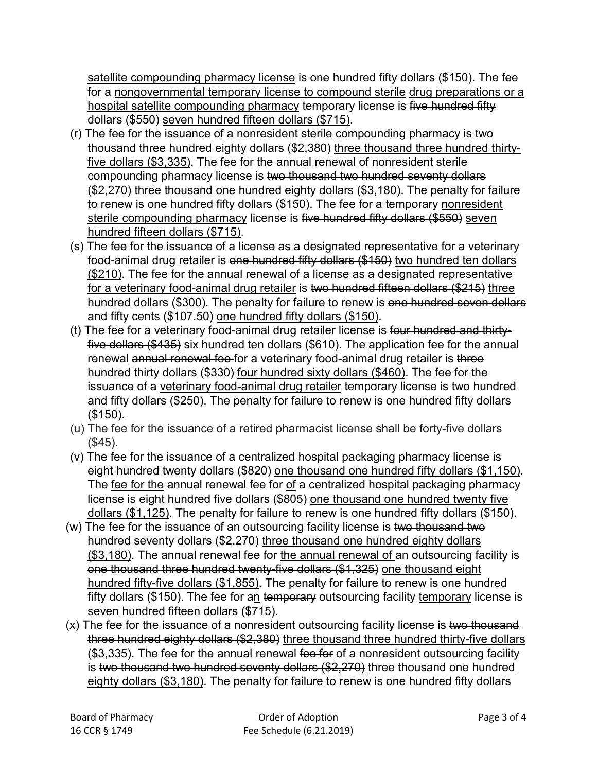satellite compounding pharmacy license is one hundred fifty dollars (\$150). The fee for a nongovernmental temporary license to compound sterile drug preparations or a hospital satellite compounding pharmacy temporary license is five hundred fifty dollars (\$550) seven hundred fifteen dollars (\$715).

- (r) The fee for the issuance of a nonresident sterile compounding pharmacy is two thousand three hundred eighty dollars (\$2,380) three thousand three hundred thirtyfive dollars (\$3,335). The fee for the annual renewal of nonresident sterile compounding pharmacy license is two thousand two hundred seventy dollars (\$2,270) three thousand one hundred eighty dollars (\$3,180). The penalty for failure to renew is one hundred fifty dollars (\$150). The fee for a temporary nonresident sterile compounding pharmacy license is five hundred fifty dollars (\$550) seven hundred fifteen dollars (\$715).
- (s) The fee for the issuance of a license as a designated representative for a veterinary food-animal drug retailer is one hundred fifty dollars (\$150) two hundred ten dollars (\$210). The fee for the annual renewal of a license as a designated representative for a veterinary food-animal drug retailer is two hundred fifteen dollars (\$215) three hundred dollars (\$300). The penalty for failure to renew is one hundred seven dollars and fifty cents (\$107.50) one hundred fifty dollars (\$150).
- (t) The fee for a veterinary food-animal drug retailer license is four hundred and thirtyfive dollars (\$435) six hundred ten dollars (\$610). The application fee for the annual renewal annual renewal fee for a veterinary food-animal drug retailer is three hundred thirty dollars (\$330) four hundred sixty dollars (\$460). The fee for the issuance of a veterinary food-animal drug retailer temporary license is two hundred and fifty dollars (\$250). The penalty for failure to renew is one hundred fifty dollars (\$150).
- (u) The fee for the issuance of a retired pharmacist license shall be forty-five dollars (\$45).
- (v) The fee for the issuance of a centralized hospital packaging pharmacy license is eight hundred twenty dollars (\$820) one thousand one hundred fifty dollars (\$1,150). The fee for the annual renewal fee for of a centralized hospital packaging pharmacy license is eight hundred five dollars (\$805) one thousand one hundred twenty five dollars (\$1,125). The penalty for failure to renew is one hundred fifty dollars (\$150).
- (w) The fee for the issuance of an outsourcing facility license is two thousand two hundred seventy dollars (\$2,270) three thousand one hundred eighty dollars (\$3,180). The annual renewal fee for the annual renewal of an outsourcing facility is one thousand three hundred twenty-five dollars (\$1,325) one thousand eight hundred fifty-five dollars (\$1,855). The penalty for failure to renew is one hundred fifty dollars (\$150). The fee for an temporary outsourcing facility temporary license is seven hundred fifteen dollars (\$715).
- (x) The fee for the issuance of a nonresident outsourcing facility license is two thousand three hundred eighty dollars (\$2,380) three thousand three hundred thirty-five dollars  $($3,335)$ . The fee for the annual renewal fee for of a nonresident outsourcing facility is two thousand two hundred seventy dollars (\$2,270) three thousand one hundred eighty dollars (\$3,180). The penalty for failure to renew is one hundred fifty dollars